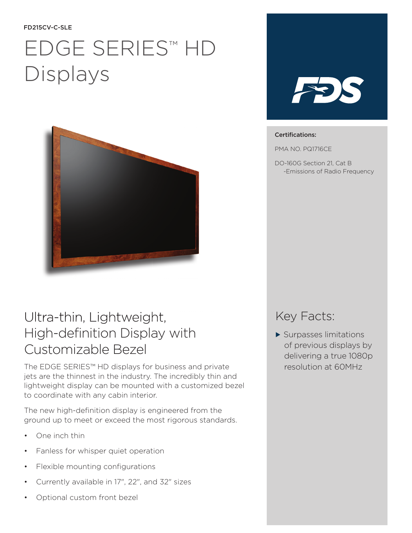#### FD215CV-C-SLE

# EDGE SERIES™ HD Displays



## Ultra-thin, Lightweight, High-definition Display with Customizable Bezel

The EDGE SERIES™ HD displays for business and private jets are the thinnest in the industry. The incredibly thin and lightweight display can be mounted with a customized bezel to coordinate with any cabin interior.

The new high-definition display is engineered from the ground up to meet or exceed the most rigorous standards.

- One inch thin
- Fanless for whisper quiet operation
- Flexible mounting configurations
- Currently available in 17", 22", and 32" sizes
- Optional custom front bezel



### Certifications:

PMA NO. PQ1716CE

DO-160G Section 21, Cat B -Emissions of Radio Frequency

### Key Facts:

 $\blacktriangleright$  Surpasses limitations of previous displays by delivering a true 1080p resolution at 60MHz